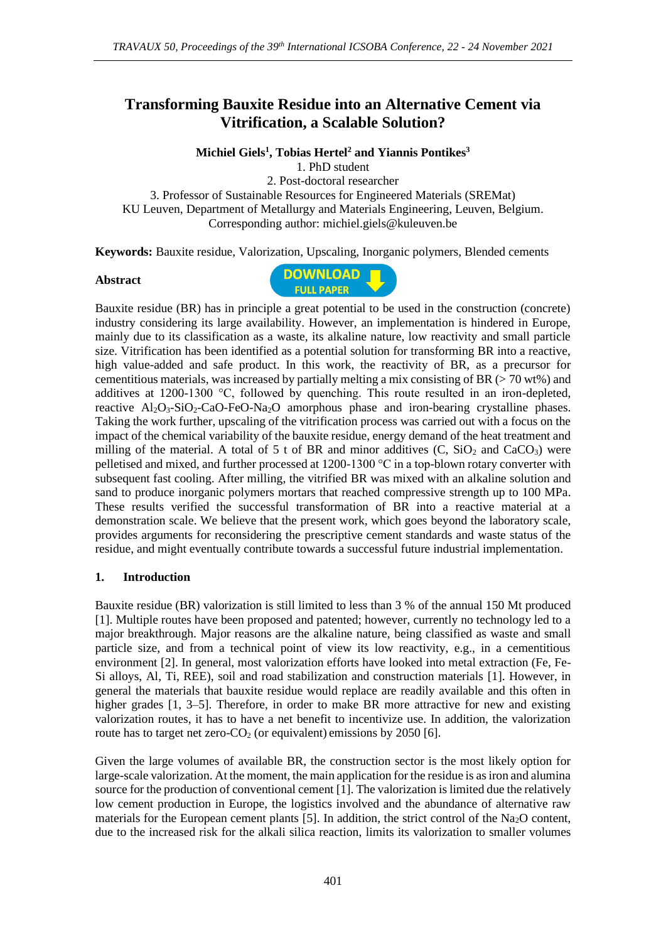## **Transforming Bauxite Residue into an Alternative Cement via Vitrification, a Scalable Solution?**

**Michiel Giels<sup>1</sup> , Tobias Hertel<sup>2</sup> and Yiannis Pontikes<sup>3</sup>**

1. PhD student

2. Post-doctoral researcher 3. Professor of Sustainable Resources for Engineered Materials (SREMat) KU Leuven, Department of Metallurgy and Materials Engineering, Leuven, Belgium. Corresponding author: michiel.giels@kuleuven.be

**Keywords:** Bauxite residue, Valorization, Upscaling, Inorganic polymers, Blended cements

## **Abstract**



Bauxite residue (BR) has in principle a great potential to be used in the construction (concrete) industry considering its large availability. However, an implementation is hindered in Europe, mainly due to its classification as a waste, its alkaline nature, low reactivity and small particle size. Vitrification has been identified as a potential solution for transforming BR into a reactive, high value-added and safe product. In this work, the reactivity of BR, as a precursor for cementitious materials, was increased by partially melting a mix consisting of BR ( $> 70$  wt%) and additives at 1200-1300 °C, followed by quenching. This route resulted in an iron-depleted, reactive  $Al_2O_3-SiO_2-CaO-FeO-Na_2O$  amorphous phase and iron-bearing crystalline phases. Taking the work further, upscaling of the vitrification process was carried out with a focus on the impact of the chemical variability of the bauxite residue, energy demand of the heat treatment and milling of the material. A total of 5 t of BR and minor additives  $(C, SiO<sub>2</sub> and CaCO<sub>3</sub>)$  were pelletised and mixed, and further processed at 1200-1300 °C in a top-blown rotary converter with subsequent fast cooling. After milling, the vitrified BR was mixed with an alkaline solution and sand to produce inorganic polymers mortars that reached compressive strength up to 100 MPa. These results verified the successful transformation of BR into a reactive material at a demonstration scale. We believe that the present work, which goes beyond the laboratory scale, provides arguments for reconsidering the prescriptive cement standards and waste status of the residue, and might eventually contribute towards a successful future industrial implementation.

## **1. Introduction**

Bauxite residue (BR) valorization is still limited to less than 3 % of the annual 150 Mt produced [1]. Multiple routes have been proposed and patented; however, currently no technology led to a major breakthrough. Major reasons are the alkaline nature, being classified as waste and small particle size, and from a technical point of view its low reactivity, e.g., in a cementitious environment [2]. In general, most valorization efforts have looked into metal extraction (Fe, Fe-Si alloys, Al, Ti, REE), soil and road stabilization and construction materials [1]. However, in general the materials that bauxite residue would replace are readily available and this often in higher grades [1, 3–5]. Therefore, in order to make BR more attractive for new and existing valorization routes, it has to have a net benefit to incentivize use. In addition, the valorization route has to target net zero- $CO<sub>2</sub>$  (or equivalent) emissions by 2050 [6].

Given the large volumes of available BR, the construction sector is the most likely option for large-scale valorization. At the moment, the main application for the residue is as iron and alumina source for the production of conventional cement [1]. The valorization is limited due the relatively low cement production in Europe, the logistics involved and the abundance of alternative raw materials for the European cement plants [5]. In addition, the strict control of the  $Na<sub>2</sub>O$  content, due to the increased risk for the alkali silica reaction, limits its valorization to smaller volumes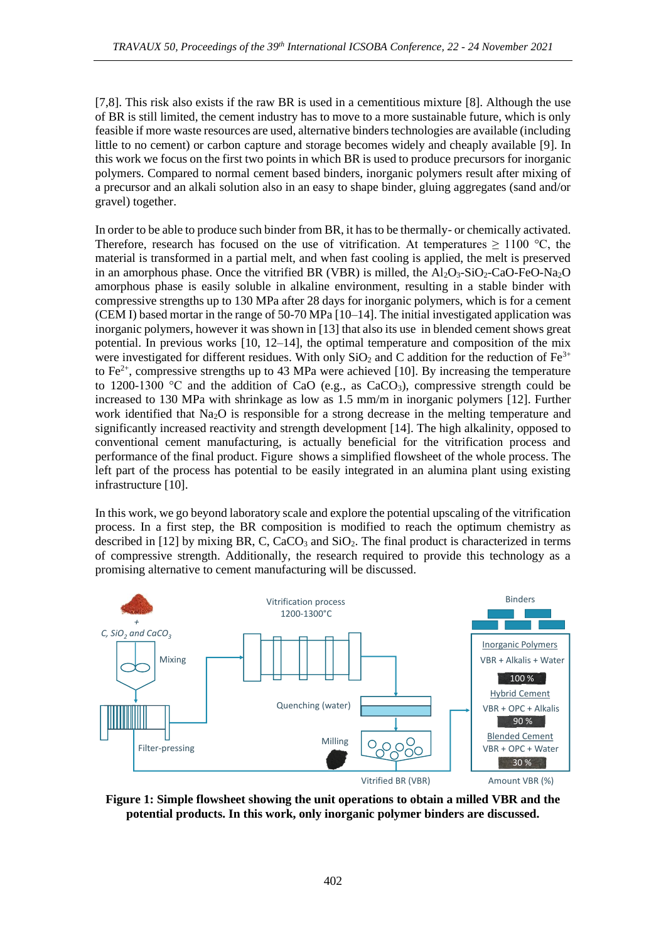[7,8]. This risk also exists if the raw BR is used in a cementitious mixture [8]. Although the use of BR is still limited, the cement industry has to move to a more sustainable future, which is only feasible if more waste resources are used, alternative binders technologies are available (including little to no cement) or carbon capture and storage becomes widely and cheaply available [9]. In this work we focus on the first two points in which BR is used to produce precursors for inorganic polymers. Compared to normal cement based binders, inorganic polymers result after mixing of a precursor and an alkali solution also in an easy to shape binder, gluing aggregates (sand and/or gravel) together.

In order to be able to produce such binder from BR, it has to be thermally- or chemically activated. Therefore, research has focused on the use of vitrification. At temperatures  $\geq 1100$  °C, the material is transformed in a partial melt, and when fast cooling is applied, the melt is preserved in an amorphous phase. Once the vitrified BR (VBR) is milled, the  $Al_2O_3-SiO_2$ -CaO-FeO-Na<sub>2</sub>O amorphous phase is easily soluble in alkaline environment, resulting in a stable binder with compressive strengths up to 130 MPa after 28 days for inorganic polymers, which is for a cement (CEM I) based mortar in the range of 50-70 MPa [10–14]. The initial investigated application was inorganic polymers, however it was shown in [13] that also its use in blended cement shows great potential. In previous works [10, 12–14], the optimal temperature and composition of the mix were investigated for different residues. With only  $SiO<sub>2</sub>$  and C addition for the reduction of Fe<sup>3+</sup> to  $Fe<sup>2+</sup>$ , compressive strengths up to 43 MPa were achieved [10]. By increasing the temperature to 1200-1300 °C and the addition of CaO (e.g., as CaCO<sub>3</sub>), compressive strength could be increased to 130 MPa with shrinkage as low as 1.5 mm/m in inorganic polymers [12]. Further work identified that Na<sub>2</sub>O is responsible for a strong decrease in the melting temperature and significantly increased reactivity and strength development [14]. The high alkalinity, opposed to conventional cement manufacturing, is actually beneficial for the vitrification process and performance of the final product. [Figure](#page-1-0) shows a simplified flowsheet of the whole process. The left part of the process has potential to be easily integrated in an alumina plant using existing infrastructure [10].

In this work, we go beyond laboratory scale and explore the potential upscaling of the vitrification process. In a first step, the BR composition is modified to reach the optimum chemistry as described in [12] by mixing BR, C, CaCO<sub>3</sub> and  $SiO<sub>2</sub>$ . The final product is characterized in terms of compressive strength. Additionally, the research required to provide this technology as a promising alternative to cement manufacturing will be discussed.



<span id="page-1-0"></span>